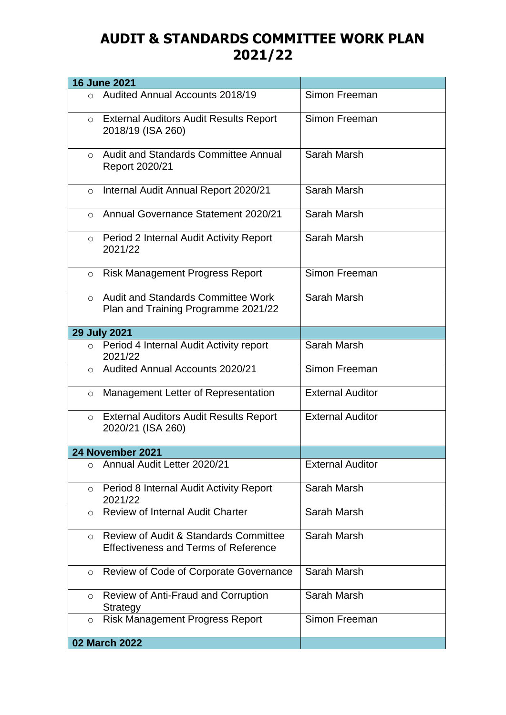## **AUDIT & STANDARDS COMMITTEE WORK PLAN 2021/22**

|               | <b>16 June 2021</b>                                                                             |                         |
|---------------|-------------------------------------------------------------------------------------------------|-------------------------|
| $\circ$       | <b>Audited Annual Accounts 2018/19</b>                                                          | Simon Freeman           |
| $\circ$       | <b>External Auditors Audit Results Report</b><br>2018/19 (ISA 260)                              | Simon Freeman           |
| $\circ$       | <b>Audit and Standards Committee Annual</b><br>Report 2020/21                                   | Sarah Marsh             |
| $\circ$       | Internal Audit Annual Report 2020/21                                                            | Sarah Marsh             |
| $\bigcirc$    | <b>Annual Governance Statement 2020/21</b>                                                      | Sarah Marsh             |
|               | ○ Period 2 Internal Audit Activity Report<br>2021/22                                            | Sarah Marsh             |
| $\circ$       | <b>Risk Management Progress Report</b>                                                          | Simon Freeman           |
| $\Omega$      | <b>Audit and Standards Committee Work</b><br>Plan and Training Programme 2021/22                | Sarah Marsh             |
|               | <b>29 July 2021</b>                                                                             |                         |
|               | o Period 4 Internal Audit Activity report<br>2021/22                                            | Sarah Marsh             |
| $\circ$       | <b>Audited Annual Accounts 2020/21</b>                                                          | Simon Freeman           |
| $\circ$       | Management Letter of Representation                                                             | <b>External Auditor</b> |
|               | ○ External Auditors Audit Results Report<br>2020/21 (ISA 260)                                   | <b>External Auditor</b> |
|               | 24 November 2021                                                                                |                         |
| $\bigcirc$    | Annual Audit Letter 2020/21                                                                     | <b>External Auditor</b> |
| $\circ$       | Period 8 Internal Audit Activity Report<br>2021/22                                              | Sarah Marsh             |
| $\circ$       | <b>Review of Internal Audit Charter</b>                                                         | Sarah Marsh             |
| $\circ$       | <b>Review of Audit &amp; Standards Committee</b><br><b>Effectiveness and Terms of Reference</b> | Sarah Marsh             |
| $\circ$       | Review of Code of Corporate Governance                                                          | Sarah Marsh             |
| $\circ$       | <b>Review of Anti-Fraud and Corruption</b><br>Strategy                                          | Sarah Marsh             |
| $\circ$       | <b>Risk Management Progress Report</b>                                                          | Simon Freeman           |
| 02 March 2022 |                                                                                                 |                         |